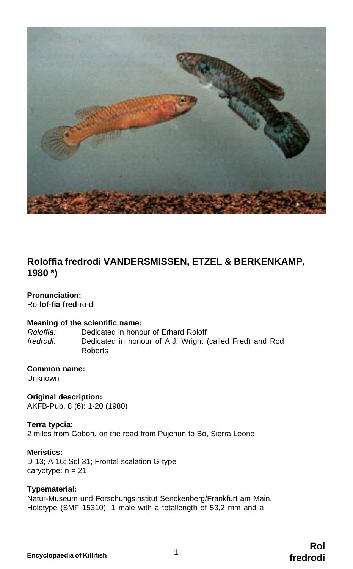

# **Roloffia fredrodi VANDERSMISSEN, ETZEL & BERKENKAMP, 1980 \*)**

# **Pronunciation:**

Ro-**lof-fia fred**-ro-di

# **Meaning of the scientific name:**<br>Roloffia: Dedicated in hono

Roloffia: Dedicated in honour of Erhard Roloff Dedicated in honour of A.J. Wright (called Fred) and Rod Roberts

# **Common name:**

Unknown

**Original description:** AKFB-Pub. 8 (6): 1-20 (1980)

# **Terra typcia:**

2 miles from Goboru on the road from Pujehun to Bo, Sierra Leone

#### **Meristics:**

D 13; A 16; Sql 31; Frontal scalation G-type caryotype:  $n = 21$ 

# **Typematerial:**

Natur-Museum und Forschungsinstitut Senckenberg/Frankfurt am Main. Holotype (SMF 15310): 1 male with a totallength of 53,2 mm and a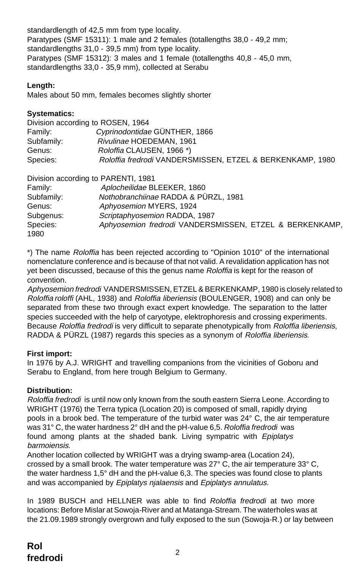standardlength of 42,5 mm from type locality. Paratypes (SMF 15311): 1 male and 2 females (totallengths 38,0 - 49,2 mm; standardlengths 31,0 - 39,5 mm) from type locality. Paratypes (SMF 15312): 3 males and 1 female (totallengths 40,8 - 45,0 mm, standardlengths 33,0 - 35,9 mm), collected at Serabu

# **Length:**

Males about 50 mm, females becomes slightly shorter

# **Systematics:**

|            | Division according to ROSEN, 1964                         |
|------------|-----------------------------------------------------------|
| Family:    | Cyprinodontidae GÜNTHER, 1866                             |
| Subfamily: | Rivulinae HOEDEMAN, 1961                                  |
| Genus:     | <i>Roloffia</i> CLAUSEN, 1966 <sup>*</sup> )              |
| Species:   | Roloffia fredrodi VANDERSMISSEN, ETZEL & BERKENKAMP, 1980 |
|            |                                                           |

|            | Division according to PARENTI, 1981                     |
|------------|---------------------------------------------------------|
| Family:    | Aplocheilidae BLEEKER, 1860                             |
| Subfamily: | Nothobranchijnae RADDA & PÜRZL, 1981                    |
| Genus:     | Aphyosemion MYERS, 1924                                 |
| Subgenus:  | Scriptaphyosemion RADDA, 1987                           |
| Species:   | Aphyosemion fredrodi VANDERSMISSEN, ETZEL & BERKENKAMP, |
| 1980       |                                                         |

\*) The name Roloffia has been rejected according to "Opinion 1010" of the international nomenclature conference and is because of that not valid. A revalidation application has not yet been discussed, because of this the genus name Roloffia is kept for the reason of convention.

Aphyosemion fredrodi VANDERSMISSEN, ETZEL & BERKENKAMP, 1980 is closely related to Roloffia roloffi (AHL, 1938) and Roloffia liberiensis (BOULENGER, 1908) and can only be separated from these two through exact expert knowledge. The separation to the latter species succeeded with the help of caryotype, elektrophoresis and crossing experiments. Because Roloffia fredrodi is very difficult to separate phenotypically from Roloffia liberiensis, RADDA & PÜRZL (1987) regards this species as a synonym of Roloffia liberiensis.

# **First import:**

In 1976 by A.J. WRIGHT and travelling companions from the vicinities of Goboru and Serabu to England, from here trough Belgium to Germany.

# **Distribution:**

Roloffia fredrodi is until now only known from the south eastern Sierra Leone. According to WRIGHT (1976) the Terra typica (Location 20) is composed of small, rapidly drying pools in a brook bed. The temperature of the turbid water was 24° C, the air temperature was 31° C, the water hardness 2° dH and the pH-value 6,5. Roloffia fredrodi was found among plants at the shaded bank. Living sympatric with Epiplatys barmoiensis.

Another location collected by WRIGHT was a drying swamp-area (Location 24), crossed by a small brook. The water temperature was  $27^{\circ}$  C, the air temperature  $33^{\circ}$  C, the water hardness 1,5° dH and the pH-value 6,3. The species was found close to plants and was accompanied by Epiplatys njalaensis and Epiplatys annulatus.

In 1989 BUSCH and HELLNER was able to find Roloffia fredrodi at two more locations: Before Mislar at Sowoja-River and at Matanga-Stream. The waterholes was at the 21.09.1989 strongly overgrown and fully exposed to the sun (Sowoja-R.) or lay between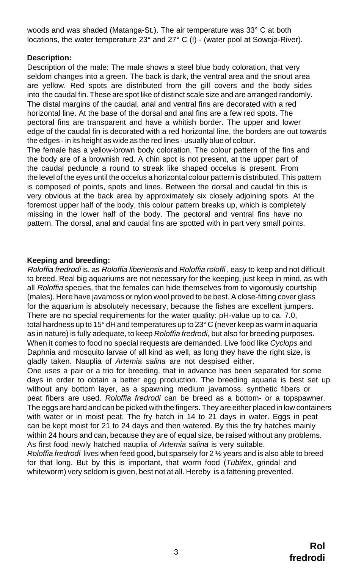woods and was shaded (Matanga-St.). The air temperature was 33° C at both locations, the water temperature 23° and 27° C (!) - (water pool at Sowoja-River).

# **Description:**

Description of the male: The male shows a steel blue body coloration, that very seldom changes into a green. The back is dark, the ventral area and the snout area are yellow. Red spots are distributed from the gill covers and the body sides into the caudal fin. These are spot like of distinct scale size and are arranged randomly. The distal margins of the caudal, anal and ventral fins are decorated with a red horizontal line. At the base of the dorsal and anal fins are a few red spots. The pectoral fins are transparent and have a whitish border. The upper and lower edge of the caudal fin is decorated with a red horizontal line, the borders are out towards the edges - in its height as wide as the red lines - usually blue of colour. The female has a yellow-brown body coloration. The colour pattern of the fins and the body are of a brownish red. A chin spot is not present, at the upper part of the caudal peduncle a round to streak like shaped occelus is present. From the level of the eyes until the occelus a horizontal colour pattern is distributed. This pattern is composed of points, spots and lines. Between the dorsal and caudal fin this is very obvious at the back area by approximately six closely adjoining spots. At the

foremost upper half of the body, this colour pattern breaks up, which is completely missing in the lower half of the body. The pectoral and ventral fins have no pattern. The dorsal, anal and caudal fins are spotted with in part very small points.

# **Keeping and breeding:**

Roloffia fredrodi is, as Roloffia liberiensis and Roloffia roloffi , easy to keep and not difficult to breed. Real big aquariums are not necessary for the keeping, just keep in mind, as with all Roloffia species, that the females can hide themselves from to vigorously courtship (males). Here have javamoss or nylon wool proved to be best. A close-fitting cover glass for the aquarium is absolutely necessary, because the fishes are excellent jumpers. There are no special requirements for the water quality: pH-value up to ca. 7.0, total hardness up to 15 $^{\circ}$  dH and temperatures up to 23 $^{\circ}$  C (never keep as warm in aquaria as in nature) is fully adequate, to keep Roloffia fredrodi, but also for breeding purposes. When it comes to food no special requests are demanded. Live food like Cyclops and Daphnia and mosquito larvae of all kind as well, as long they have the right size, is gladly taken. Nauplia of Artemia salina are not despised either.

One uses a pair or a trio for breeding, that in advance has been separated for some days in order to obtain a better egg production. The breeding aquaria is best set up without any bottom layer, as a spawning medium javamoss, synthetic fibers or peat fibers are used. Roloffia fredrodi can be breed as a bottom- or a topspawner. The eggs are hard and can be picked with the fingers. They are either placed in low containers with water or in moist peat. The fry hatch in 14 to 21 days in water. Eggs in peat can be kept moist for 21 to 24 days and then watered. By this the fry hatches mainly within 24 hours and can, because they are of equal size, be raised without any problems. As first food newly hatched nauplia of Artemia salina is very suitable.

Roloffia fredrodi lives when feed good, but sparsely for  $2\frac{1}{2}$  years and is also able to breed for that long. But by this is important, that worm food (Tubifex, grindal and whiteworm) very seldom is given, best not at all. Hereby is a fattening prevented.